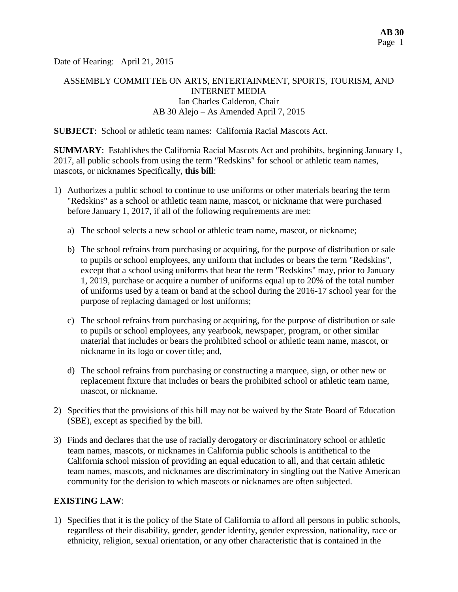Date of Hearing: April 21, 2015

# ASSEMBLY COMMITTEE ON ARTS, ENTERTAINMENT, SPORTS, TOURISM, AND INTERNET MEDIA Ian Charles Calderon, Chair AB 30 Alejo – As Amended April 7, 2015

**SUBJECT**: School or athletic team names: California Racial Mascots Act.

**SUMMARY**: Establishes the California Racial Mascots Act and prohibits, beginning January 1, 2017, all public schools from using the term "Redskins" for school or athletic team names, mascots, or nicknames Specifically, **this bill**:

- 1) Authorizes a public school to continue to use uniforms or other materials bearing the term "Redskins" as a school or athletic team name, mascot, or nickname that were purchased before January 1, 2017, if all of the following requirements are met:
	- a) The school selects a new school or athletic team name, mascot, or nickname;
	- b) The school refrains from purchasing or acquiring, for the purpose of distribution or sale to pupils or school employees, any uniform that includes or bears the term "Redskins", except that a school using uniforms that bear the term "Redskins" may, prior to January 1, 2019, purchase or acquire a number of uniforms equal up to 20% of the total number of uniforms used by a team or band at the school during the 2016-17 school year for the purpose of replacing damaged or lost uniforms;
	- c) The school refrains from purchasing or acquiring, for the purpose of distribution or sale to pupils or school employees, any yearbook, newspaper, program, or other similar material that includes or bears the prohibited school or athletic team name, mascot, or nickname in its logo or cover title; and,
	- d) The school refrains from purchasing or constructing a marquee, sign, or other new or replacement fixture that includes or bears the prohibited school or athletic team name, mascot, or nickname.
- 2) Specifies that the provisions of this bill may not be waived by the State Board of Education (SBE), except as specified by the bill.
- 3) Finds and declares that the use of racially derogatory or discriminatory school or athletic team names, mascots, or nicknames in California public schools is antithetical to the California school mission of providing an equal education to all, and that certain athletic team names, mascots, and nicknames are discriminatory in singling out the Native American community for the derision to which mascots or nicknames are often subjected.

## **EXISTING LAW**:

1) Specifies that it is the policy of the State of California to afford all persons in public schools, regardless of their disability, gender, gender identity, gender expression, nationality, race or ethnicity, religion, sexual orientation, or any other characteristic that is contained in the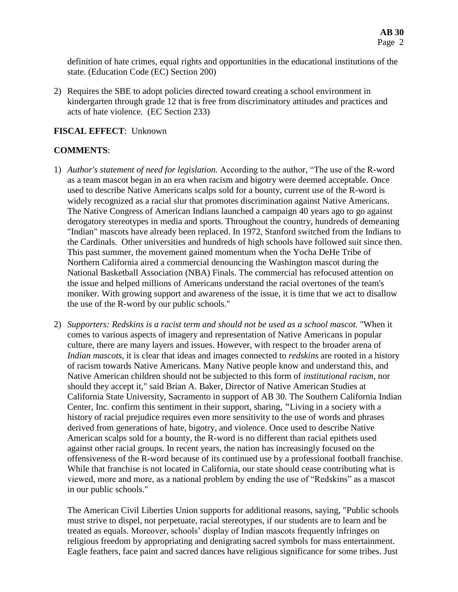definition of hate crimes, equal rights and opportunities in the educational institutions of the state. (Education Code (EC) Section 200)

2) Requires the SBE to adopt policies directed toward creating a school environment in kindergarten through grade 12 that is free from discriminatory attitudes and practices and acts of hate violence. (EC Section 233)

## **FISCAL EFFECT**: Unknown

## **COMMENTS**:

- 1) *Author's statement of need for legislation.* According to the author, "The use of the R-word as a team mascot began in an era when racism and bigotry were deemed acceptable. Once used to describe Native Americans scalps sold for a bounty, current use of the R-word is widely recognized as a racial slur that promotes discrimination against Native Americans. The Native Congress of American Indians launched a campaign 40 years ago to go against derogatory stereotypes in media and sports. Throughout the country, hundreds of demeaning "Indian" mascots have already been replaced. In 1972, Stanford switched from the Indians to the Cardinals. Other universities and hundreds of high schools have followed suit since then. This past summer, the movement gained momentum when the Yocha DeHe Tribe of Northern California aired a commercial denouncing the Washington mascot during the National Basketball Association (NBA) Finals. The commercial has refocused attention on the issue and helped millions of Americans understand the racial overtones of the team's moniker. With growing support and awareness of the issue, it is time that we act to disallow the use of the R-word by our public schools."
- 2) *Supporters: Redskins is a racist term and should not be used as a school mascot.* "When it comes to various aspects of imagery and representation of Native Americans in popular culture, there are many layers and issues. However, with respect to the broader arena of *Indian mascots*, it is clear that ideas and images connected to *redskins* are rooted in a history of racism towards Native Americans. Many Native people know and understand this, and Native American children should not be subjected to this form of *institutional racism*, nor should they accept it," said Brian A. Baker, Director of Native American Studies at California State University, Sacramento in support of AB 30. The Southern California Indian Center, Inc. confirm this sentiment in their support, sharing, **"**Living in a society with a history of racial prejudice requires even more sensitivity to the use of words and phrases derived from generations of hate, bigotry, and violence. Once used to describe Native American scalps sold for a bounty, the R-word is no different than racial epithets used against other racial groups. In recent years, the nation has increasingly focused on the offensiveness of the R-word because of its continued use by a professional football franchise. While that franchise is not located in California, our state should cease contributing what is viewed, more and more, as a national problem by ending the use of "Redskins" as a mascot in our public schools."

The American Civil Liberties Union supports for additional reasons, saying, "Public schools must strive to dispel, not perpetuate, racial stereotypes, if our students are to learn and be treated as equals. Moreover, schools' display of Indian mascots frequently infringes on religious freedom by appropriating and denigrating sacred symbols for mass entertainment. Eagle feathers, face paint and sacred dances have religious significance for some tribes. Just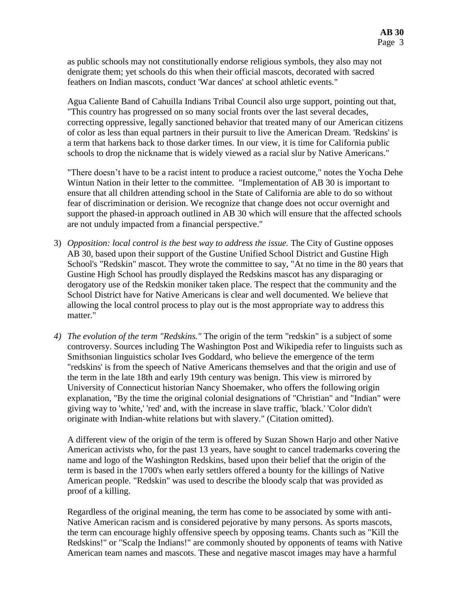as public schools may not constitutionally endorse religious symbols, they also may not denigrate them; yet schools do this when their official mascots, decorated with sacred feathers on Indian mascots, conduct 'War dances' at school athletic events."

Agua Caliente Band of Cahuilla Indians Tribal Council also urge support, pointing out that, "This country has progressed on so many social fronts over the last several decades, correcting oppressive, legally sanctioned behavior that treated many of our American citizens of color as less than equal partners in their pursuit to live the American Dream. 'Redskins' is a term that harkens back to those darker times. In our view, it is time for California public schools to drop the nickname that is widely viewed as a racial slur by Native Americans."

"There doesn't have to be a racist intent to produce a raciest outcome," notes the Yocha Dehe Wintun Nation in their letter to the committee. "Implementation of AB 30 is important to ensure that all children attending school in the State of California are able to do so without fear of discrimination or derision. We recognize that change does not occur overnight and support the phased-in approach outlined in AB 30 which will ensure that the affected schools are not unduly impacted from a financial perspective."

- 3) *Opposition: local control is the best way to address the issue.* The City of Gustine opposes AB 30, based upon their support of the Gustine Unified School District and Gustine High School's "Redskin" mascot. They wrote the committee to say, "At no time in the 80 years that Gustine High School has proudly displayed the Redskins mascot has any disparaging or derogatory use of the Redskin moniker taken place. The respect that the community and the School District have for Native Americans is clear and well documented. We believe that allowing the local control process to play out is the most appropriate way to address this matter."
- *4) The evolution of the term "Redskins."* The origin of the term "redskin" is a subject of some controversy. Sources including The Washington Post and Wikipedia refer to linguists such as [Smithsonian](http://en.wikipedia.org/wiki/Smithsonian_Institution) linguistics scholar [Ives Goddard,](http://en.wikipedia.org/wiki/Ives_Goddard) who believe the emergence of the term "redskins' is from the speech of Native Americans themselves and that the origin and use of the term in the late 18th and early 19th century was benign. This view is mirrored by University of Connecticut historian Nancy Shoemaker, who offers the following origin explanation, "By the time the original colonial designations of "Christian" and "Indian" were giving way to 'white,' 'red' and, with the increase in slave traffic, 'black.' 'Color didn't originate with Indian-white relations but with slavery." (Citation omitted).

A different view of the origin of the term is offered by Suzan Shown Harjo and other Native American activists who, for the past 13 years, have sought to cancel trademarks covering the name and logo of the Washington Redskins, based upon their belief that the origin of the term is based in the 1700's when early settlers offered a bounty for the killings of Native American people. "Redskin" was used to describe the bloody scalp that was provided as proof of a killing.

Regardless of the original meaning, the term has come to be associated by some with anti-Native American racism and is considered pejorative by many persons. As sports mascots, the term can encourage highly offensive speech by opposing teams. Chants such as "Kill the Redskins!" or "Scalp the Indians!" are commonly shouted by opponents of teams with Native American team names and mascots. These and negative mascot images may have a harmful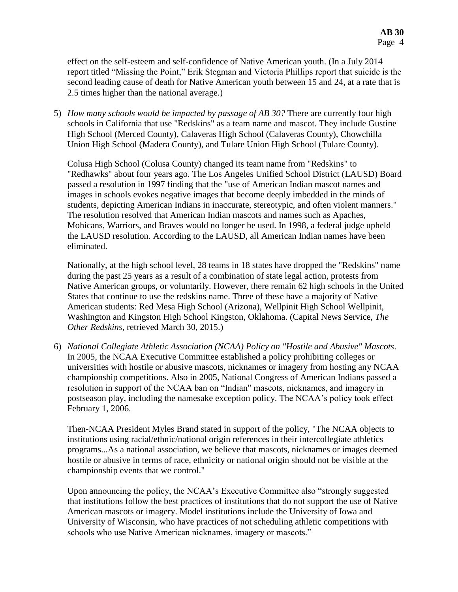effect on the self-esteem and self-confidence of Native American youth. (In a July 2014 report titled "Missing the Point," Erik Stegman and Victoria Phillips report that suicide is the second leading cause of death for Native American youth between 15 and 24, at a rate that is 2.5 times higher than the national average.)

5) *How many schools would be impacted by passage of AB 30?* There are currently four high schools in California that use "Redskins" as a team name and mascot. They include Gustine High School (Merced County), Calaveras High School (Calaveras County), Chowchilla Union High School (Madera County), and Tulare Union High School (Tulare County).

Colusa High School (Colusa County) changed its team name from "Redskins" to "Redhawks" about four years ago. The Los Angeles Unified School District (LAUSD) Board passed a resolution in 1997 finding that the "use of American Indian mascot names and images in schools evokes negative images that become deeply imbedded in the minds of students, depicting American Indians in inaccurate, stereotypic, and often violent manners." The resolution resolved that American Indian mascots and names such as Apaches, Mohicans, Warriors, and Braves would no longer be used. In 1998, a federal judge upheld the LAUSD resolution. According to the LAUSD, all American Indian names have been eliminated.

Nationally, at the high school level, 28 teams in 18 states have dropped the "Redskins" name during the past 25 years as a result of a combination of state legal action, protests from Native American groups, or voluntarily. However, there remain 62 high schools in the United States that continue to use the redskins name. Three of these have a majority of Native American students: [Red Mesa High School](http://en.wikipedia.org/wiki/Red_Mesa_High_School) (Arizona), Wellpinit High School [Wellpinit,](http://en.wikipedia.org/wiki/Wellpinit,_Washington)  [Washington](http://en.wikipedia.org/wiki/Wellpinit,_Washington) and Kingston High School [Kingston, Oklahoma.](http://en.wikipedia.org/wiki/Kingston,_Oklahoma) (Capital News Service, *The Other Redskins,* retrieved March 30, 2015.)

6) *National Collegiate Athletic Association (NCAA) Policy on "Hostile and Abusive" Mascots.* In 2005, the NCAA Executive Committee established a policy prohibiting colleges or universities with hostile or abusive mascots, nicknames or imagery from hosting any NCAA championship competitions. Also in 2005, National Congress of American Indians passed a resolution in support of the NCAA ban on "Indian" mascots, nicknames, and imagery in postseason play, including the namesake exception policy. The NCAA's policy took effect February 1, 2006.

Then-NCAA President Myles Brand stated in support of the policy, "The NCAA objects to institutions using racial/ethnic/national origin references in their intercollegiate athletics programs...As a national association, we believe that mascots, nicknames or images deemed hostile or abusive in terms of race, ethnicity or national origin should not be visible at the championship events that we control."

Upon announcing the policy, the NCAA's Executive Committee also "strongly suggested that institutions follow the best practices of institutions that do not support the use of Native American mascots or imagery. Model institutions include the University of Iowa and University of Wisconsin, who have practices of not scheduling athletic competitions with schools who use Native American nicknames, imagery or mascots."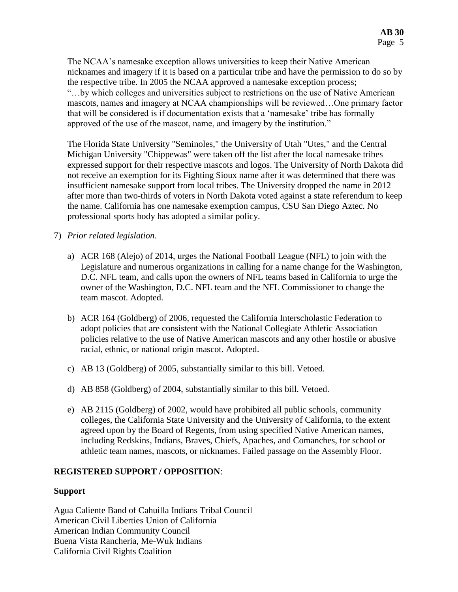The NCAA's namesake exception allows universities to keep their Native American nicknames and imagery if it is based on a particular tribe and have the permission to do so by the respective tribe. In 2005 the NCAA approved a namesake exception process; "…by which colleges and universities subject to restrictions on the use of Native American mascots, names and imagery at NCAA championships will be reviewed…One primary factor that will be considered is if documentation exists that a 'namesake' tribe has formally approved of the use of the mascot, name, and imagery by the institution."

The Florida State University "Seminoles," the University of Utah "Utes," and the Central Michigan University "Chippewas" were taken off the list after the local namesake tribes expressed support for their respective mascots and logos. The University of North Dakota did not receive an exemption for its Fighting Sioux name after it was determined that there was insufficient namesake support from local tribes. The University dropped the name in 2012 after more than two-thirds of voters in North Dakota voted against a state referendum to keep the name. California has one namesake exemption campus, CSU San Diego Aztec. No professional sports body has adopted a similar policy.

- 7) *Prior related legislation*.
	- a) ACR 168 (Alejo) of 2014, urges the National Football League (NFL) to join with the Legislature and numerous organizations in calling for a name change for the Washington, D.C. NFL team, and calls upon the owners of NFL teams based in California to urge the owner of the Washington, D.C. NFL team and the NFL Commissioner to change the team mascot. Adopted.
	- b) ACR 164 (Goldberg) of 2006, requested the California Interscholastic Federation to adopt policies that are consistent with the National Collegiate Athletic Association policies relative to the use of Native American mascots and any other hostile or abusive racial, ethnic, or national origin mascot. Adopted.
	- c) AB 13 (Goldberg) of 2005, substantially similar to this bill. Vetoed.
	- d) AB 858 (Goldberg) of 2004, substantially similar to this bill. Vetoed.
	- e) AB 2115 (Goldberg) of 2002, would have prohibited all public schools, community colleges, the California State University and the University of California, to the extent agreed upon by the Board of Regents, from using specified Native American names, including Redskins, Indians, Braves, Chiefs, Apaches, and Comanches, for school or athletic team names, mascots, or nicknames. Failed passage on the Assembly Floor.

# **REGISTERED SUPPORT / OPPOSITION**:

# **Support**

Agua Caliente Band of Cahuilla Indians Tribal Council American Civil Liberties Union of California American Indian Community Council Buena Vista Rancheria, Me-Wuk Indians California Civil Rights Coalition